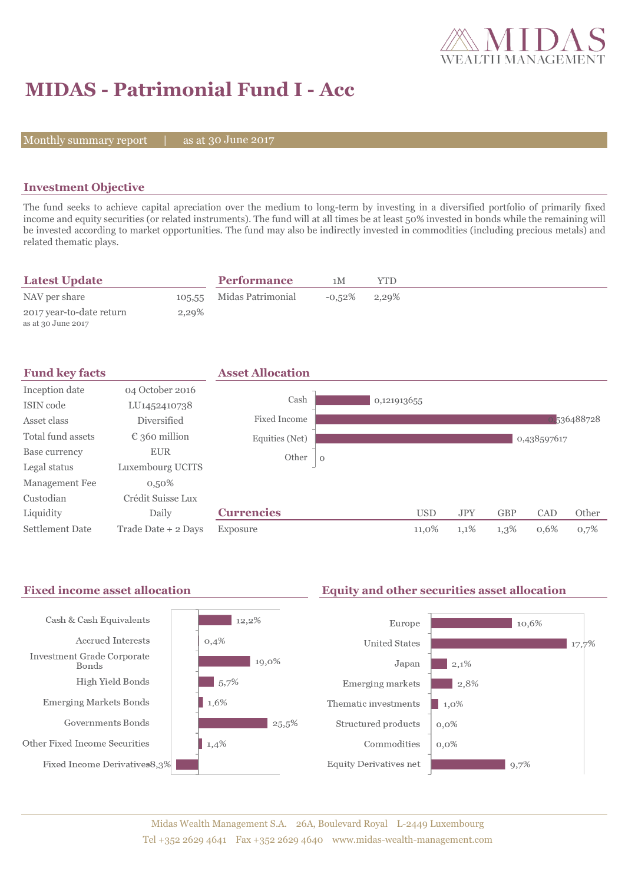

# **MIDAS - Patrimonial Fund I - Acc**

Monthly summary report  $|$ 

as at 30 June 2017

### **Investment Objective**

The fund seeks to achieve capital apreciation over the medium to long-term by investing in a diversified portfolio of primarily fixed income and equity securities (or related instruments). The fund will at all times be at least 50% invested in bonds while the remaining will be invested according to market opportunities. The fund may also be indirectly invested in commodities (including precious metals) and related thematic plays.

| <b>Latest Update</b>                           |       | <b>Performance</b>       | 1 M             | YTD |
|------------------------------------------------|-------|--------------------------|-----------------|-----|
| NAV per share                                  |       | 105.55 Midas Patrimonial | $-0.52\%$ 2,29% |     |
| 2017 year-to-date return<br>as at 30 June 2017 | 2,29% |                          |                 |     |

| <b>Fund key facts</b>  |                        | <b>Asset Allocation</b> |             |             |            |            |             |           |
|------------------------|------------------------|-------------------------|-------------|-------------|------------|------------|-------------|-----------|
| Inception date         | 04 October 2016        |                         |             |             |            |            |             |           |
| ISIN code              | LU1452410738           | Cash                    |             | 0,121913655 |            |            |             |           |
| Asset class            | <b>Diversified</b>     | Fixed Income            |             |             |            |            |             | 536488728 |
| Total fund assets      | $\epsilon$ 360 million | Equities (Net)          |             |             |            |            | 0,438597617 |           |
| Base currency          | <b>EUR</b>             | Other                   | $\mathbf 0$ |             |            |            |             |           |
| Legal status           | Luxembourg UCITS       |                         |             |             |            |            |             |           |
| Management Fee         | $0,50\%$               |                         |             |             |            |            |             |           |
| Custodian              | Crédit Suisse Lux      |                         |             |             |            |            |             |           |
| Liquidity              | Daily                  | <b>Currencies</b>       |             | <b>USD</b>  | <b>JPY</b> | <b>GBP</b> | CAD         | Other     |
| <b>Settlement Date</b> | Trade Date + 2 Days    | Exposure                |             | 11,0%       | 1,1%       | 1,3%       | 0,6%        | 0,7%      |

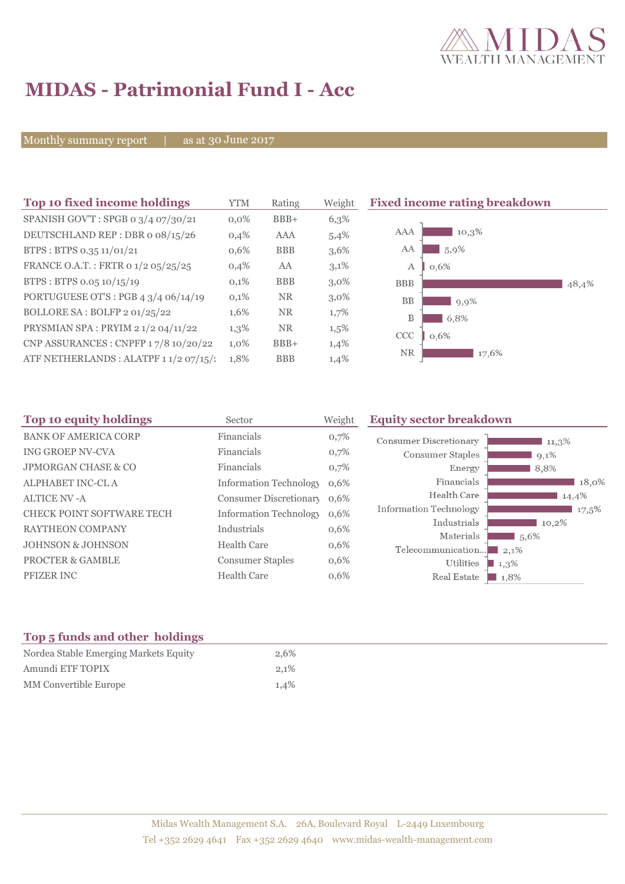

# **MIDAS - Patrimonial Fund I - Acc**

Monthly summary report | as at 30 June 2017

| Top 10 fixed income holdings           | <b>YTM</b> | Rating     | Weight  | <b>Fixed income rating breakdown</b> |
|----------------------------------------|------------|------------|---------|--------------------------------------|
| SPANISH GOV'T: SPGB 0 3/4 07/30/21     | $0.0\%$    | $BBB+$     | 6,3%    |                                      |
| DEUTSCHLAND REP : DBR o 08/15/26       | 0,4%       | AAA        | 5,4%    | 10,3%<br>AAA                         |
| BTPS: BTPS 0.35 11/01/21               | 0,6%       | <b>BBB</b> | 3,6%    | AA<br>5,9%                           |
| FRANCE O.A.T.: FRTR 0 1/2 05/25/25     | 0,4%       | AA         | 3,1%    | А<br>0,6%                            |
| BTPS: BTPS 0.05 10/15/19               | 0,1%       | <b>BBB</b> | $3,0\%$ | <b>BBB</b><br>48,4%                  |
| PORTUGUESE OT'S : PGB 4 3/4 06/14/19   | 0,1%       | <b>NR</b>  | $3,0\%$ | <b>BB</b><br>9,9%                    |
| BOLLORE SA: BOLFP 2 01/25/22           | 1,6%       | <b>NR</b>  | 1,7%    | B<br>6,8%                            |
| PRYSMIAN SPA: PRYIM 2 1/2 04/11/22     | 1,3%       | NR.        | $1,5\%$ | CCC<br>0,6%                          |
| CNP ASSURANCES : CNPFP 17/8 10/20/22   | $1,0\%$    | $BBB+$     | 1,4%    |                                      |
| ATF NETHERLANDS : ALATPF 1 1/2 07/15/: | 1,8%       | <b>BBB</b> | 1,4%    | <b>NR</b><br>17,6%                   |

| Top 10 equity holdings           | Sector                        | Weight | <b>Equity sector breakdown</b> |                 |
|----------------------------------|-------------------------------|--------|--------------------------------|-----------------|
| <b>BANK OF AMERICA CORP</b>      | Financials                    | 0,7%   | <b>Consumer Discretionary</b>  | $11,3\%$        |
| <b>ING GROEP NV-CVA</b>          | Financials                    | 0,7%   | Consumer Staples               | $9,1\%$         |
| <b>JPMORGAN CHASE &amp; CO</b>   | Financials                    | 0,7%   | Energy                         | 8,8%            |
| ALPHABET INC-CL A                | <b>Information Technology</b> | 0,6%   | Financials                     | 18,0%           |
| <b>ALTICE NV-A</b>               | <b>Consumer Discretionary</b> | 0,6%   | Health Care                    | 14,4%           |
| <b>CHECK POINT SOFTWARE TECH</b> | <b>Information Technology</b> | 0,6%   | Information Technology         | 17,5%           |
| <b>RAYTHEON COMPANY</b>          | Industrials                   | 0,6%   | Industrials                    | 10,2%           |
| <b>JOHNSON &amp; JOHNSON</b>     | Health Care                   | 0,6%   | Materials                      | 1,5,6%          |
| <b>PROCTER &amp; GAMBLE</b>      | <b>Consumer Staples</b>       | 0,6%   | Telecommunication<br>Utilities | 2,1%<br>$1,3\%$ |
| <b>PFIZER INC</b>                | <b>Health Care</b>            | 0,6%   | Real Estate                    | 1,8%            |

### **Top 5 funds and other holdings**

| Nordea Stable Emerging Markets Equity | 2,6%    |
|---------------------------------------|---------|
| Amundi ETF TOPIX                      | $2.1\%$ |
| MM Convertible Europe                 | $1.4\%$ |